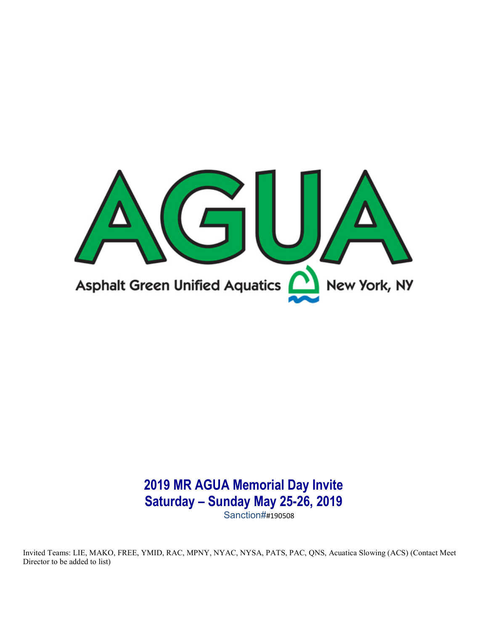

# 2019 MR AGUA Memorial Day Invite Saturday – Sunday May 25-26, 2019

Sanction##190508

Invited Teams: LIE, MAKO, FREE, YMID, RAC, MPNY, NYAC, NYSA, PATS, PAC, QNS, Acuatica Slowing (ACS) (Contact Meet Director to be added to list)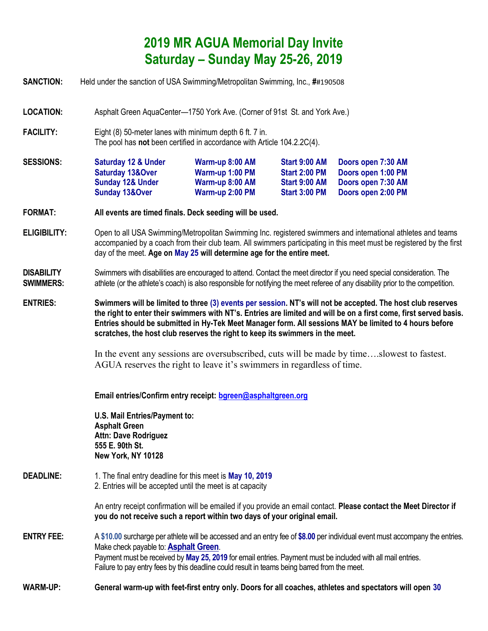# 2019 MR AGUA Memorial Day Invite Saturday – Sunday May 25-26, 2019

- SANCTION: Held under the sanction of USA Swimming/Metropolitan Swimming, Inc., ##190508
- LOCATION: Asphalt Green AquaCenter—1750 York Ave. (Corner of 91st St. and York Ave.)
- FACILITY: Eight (8) 50-meter lanes with minimum depth 6 ft. 7 in. The pool has not been certified in accordance with Article 104.2.2C(4).

| <b>SESSIONS:</b> | <b>Saturday 12 &amp; Under</b> | Warm-up 8:00 AM | Start 9:00 AM        | Doors open 7:30 AM |
|------------------|--------------------------------|-----------------|----------------------|--------------------|
|                  | <b>Saturday 13&amp;Over</b>    | Warm-up 1:00 PM | <b>Start 2:00 PM</b> | Doors open 1:00 PM |
|                  | <b>Sunday 12&amp; Under</b>    | Warm-up 8:00 AM | Start 9:00 AM        | Doors open 7:30 AM |
|                  | <b>Sunday 13&amp;Over</b>      | Warm-up 2:00 PM | <b>Start 3:00 PM</b> | Doors open 2:00 PM |

- FORMAT: All events are timed finals. Deck seeding will be used.
- ELIGIBILITY: Open to all USA Swimming/Metropolitan Swimming Inc. registered swimmers and international athletes and teams accompanied by a coach from their club team. All swimmers participating in this meet must be registered by the first day of the meet. Age on May 25 will determine age for the entire meet.
- DISABILITY Swimmers with disabilities are encouraged to attend. Contact the meet director if you need special consideration. The **SWIMMERS:** athlete (or the athlete's coach) is also responsible for notifying the meet referee of any disability prior to the competition.
- ENTRIES: Swimmers will be limited to three (3) events per session. NT's will not be accepted. The host club reserves the right to enter their swimmers with NT's. Entries are limited and will be on a first come, first served basis. Entries should be submitted in Hy-Tek Meet Manager form. All sessions MAY be limited to 4 hours before scratches, the host club reserves the right to keep its swimmers in the meet.

In the event any sessions are oversubscribed, cuts will be made by time….slowest to fastest. AGUA reserves the right to leave it's swimmers in regardless of time.

Email entries/Confirm entry receipt: bgreen@asphaltgreen.org

U.S. Mail Entries/Payment to: Asphalt Green Attn: Dave Rodriguez 555 E. 90th St. New York, NY 10128

**DEADLINE:** 1. The final entry deadline for this meet is **May 10, 2019** 2. Entries will be accepted until the meet is at capacity

> An entry receipt confirmation will be emailed if you provide an email contact. Please contact the Meet Director if you do not receive such a report within two days of your original email.

- ENTRY FEE: A \$10.00 surcharge per athlete will be accessed and an entry fee of \$8.00 per individual event must accompany the entries. Make check payable to: **Asphalt Green**. Payment must be received by May 25, 2019 for email entries. Payment must be included with all mail entries. Failure to pay entry fees by this deadline could result in teams being barred from the meet.
- WARM-UP: General warm-up with feet-first entry only. Doors for all coaches, athletes and spectators will open 30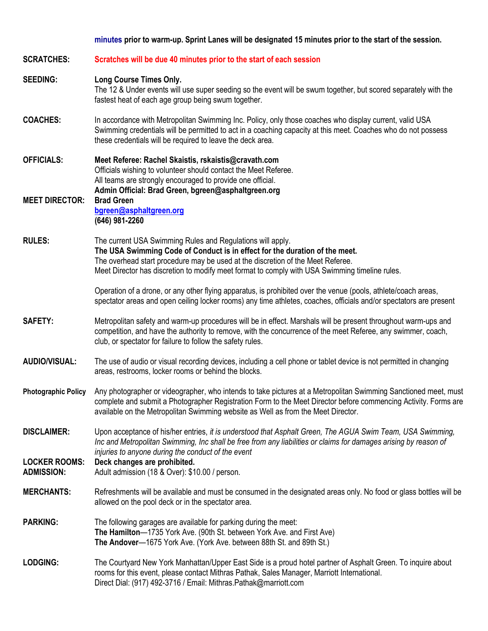#### minutes prior to warm-up. Sprint Lanes will be designated 15 minutes prior to the start of the session.

| <b>SCRATCHES:</b>                         | Scratches will be due 40 minutes prior to the start of each session                                                                                                                                                                                                                                                            |
|-------------------------------------------|--------------------------------------------------------------------------------------------------------------------------------------------------------------------------------------------------------------------------------------------------------------------------------------------------------------------------------|
| <b>SEEDING:</b>                           | <b>Long Course Times Only.</b><br>The 12 & Under events will use super seeding so the event will be swum together, but scored separately with the<br>fastest heat of each age group being swum together.                                                                                                                       |
| <b>COACHES:</b>                           | In accordance with Metropolitan Swimming Inc. Policy, only those coaches who display current, valid USA<br>Swimming credentials will be permitted to act in a coaching capacity at this meet. Coaches who do not possess<br>these credentials will be required to leave the deck area.                                         |
| <b>OFFICIALS:</b>                         | Meet Referee: Rachel Skaistis, rskaistis@cravath.com<br>Officials wishing to volunteer should contact the Meet Referee.<br>All teams are strongly encouraged to provide one official.<br>Admin Official: Brad Green, bgreen@asphaltgreen.org                                                                                   |
| <b>MEET DIRECTOR:</b>                     | <b>Brad Green</b><br>bgreen@asphaltgreen.org<br>(646) 981-2260                                                                                                                                                                                                                                                                 |
| <b>RULES:</b>                             | The current USA Swimming Rules and Regulations will apply.<br>The USA Swimming Code of Conduct is in effect for the duration of the meet.<br>The overhead start procedure may be used at the discretion of the Meet Referee.<br>Meet Director has discretion to modify meet format to comply with USA Swimming timeline rules. |
|                                           | Operation of a drone, or any other flying apparatus, is prohibited over the venue (pools, athlete/coach areas,<br>spectator areas and open ceiling locker rooms) any time athletes, coaches, officials and/or spectators are present                                                                                           |
| <b>SAFETY:</b>                            | Metropolitan safety and warm-up procedures will be in effect. Marshals will be present throughout warm-ups and<br>competition, and have the authority to remove, with the concurrence of the meet Referee, any swimmer, coach,<br>club, or spectator for failure to follow the safety rules.                                   |
| <b>AUDIO/VISUAL:</b>                      | The use of audio or visual recording devices, including a cell phone or tablet device is not permitted in changing<br>areas, restrooms, locker rooms or behind the blocks.                                                                                                                                                     |
| <b>Photographic Policy</b>                | Any photographer or videographer, who intends to take pictures at a Metropolitan Swimming Sanctioned meet, must<br>complete and submit a Photographer Registration Form to the Meet Director before commencing Activity. Forms are<br>available on the Metropolitan Swimming website as Well as from the Meet Director.        |
| <b>DISCLAIMER:</b>                        | Upon acceptance of his/her entries, it is understood that Asphalt Green, The AGUA Swim Team, USA Swimming,<br>Inc and Metropolitan Swimming, Inc shall be free from any liabilities or claims for damages arising by reason of<br>injuries to anyone during the conduct of the event                                           |
| <b>LOCKER ROOMS:</b><br><b>ADMISSION:</b> | Deck changes are prohibited.<br>Adult admission (18 & Over): \$10.00 / person.                                                                                                                                                                                                                                                 |
| <b>MERCHANTS:</b>                         | Refreshments will be available and must be consumed in the designated areas only. No food or glass bottles will be<br>allowed on the pool deck or in the spectator area.                                                                                                                                                       |
| <b>PARKING:</b>                           | The following garages are available for parking during the meet:<br>The Hamilton-1735 York Ave. (90th St. between York Ave. and First Ave)<br>The Andover-1675 York Ave. (York Ave. between 88th St. and 89th St.)                                                                                                             |
| <b>LODGING:</b>                           | The Courtyard New York Manhattan/Upper East Side is a proud hotel partner of Asphalt Green. To inquire about<br>rooms for this event, please contact Mithras Pathak, Sales Manager, Marriott International.<br>Direct Dial: (917) 492-3716 / Email: Mithras.Pathak@marriott.com                                                |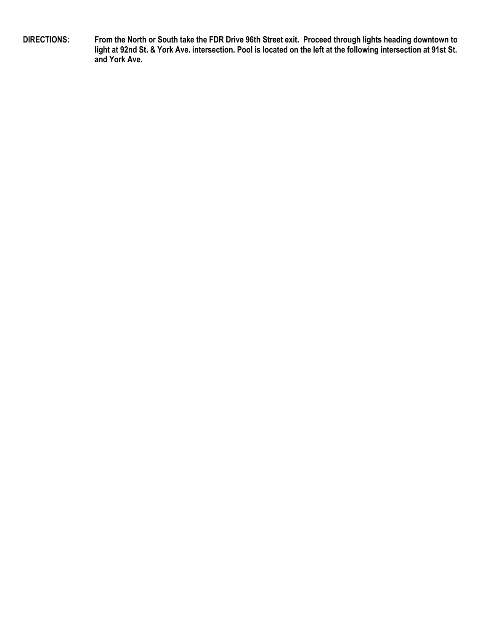DIRECTIONS: From the North or South take the FDR Drive 96th Street exit. Proceed through lights heading downtown to light at 92nd St. & York Ave. intersection. Pool is located on the left at the following intersection at 91st St. and York Ave.